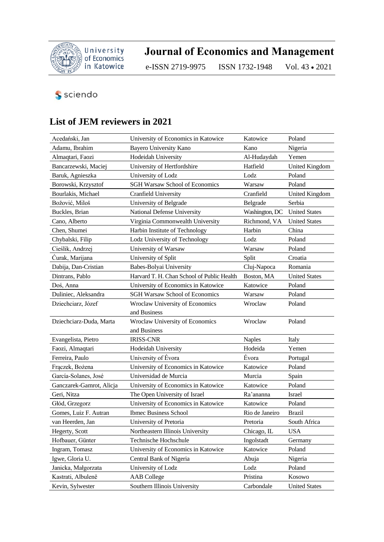

## **Journal of Economics and Management**

e-ISSN 2719-9975 ISSN 1732-1948 Vol. 43 • 2021

## **Sciendo**

## **List of JEM reviewers in 2021**

| Acedański, Jan           | University of Economics in Katowice        | Katowice       | Poland               |
|--------------------------|--------------------------------------------|----------------|----------------------|
| Adamu, Ibrahim           | Bayero University Kano                     | Kano           | Nigeria              |
| Almaqtari, Faozi         | <b>Hodeidah University</b>                 | Al-Hudaydah    | Yemen                |
| Bancarzewski, Maciej     | University of Hertfordshire                | Hatfield       | United Kingdom       |
| Baruk, Agnieszka         | University of Lodz                         | Lodz           | Poland               |
| Borowski, Krzysztof      | SGH Warsaw School of Economics             | Warsaw         | Poland               |
| Bourlakis, Michael       | Cranfield University                       | Cranfield      | United Kingdom       |
| Božović, Miloš           | University of Belgrade                     | Belgrade       | Serbia               |
| Buckles, Brian           | National Defense University                | Washington, DC | <b>United States</b> |
| Cano, Alberto            | Virginia Commonwealth University           | Richmond, VA   | <b>United States</b> |
| Chen, Shumei             | Harbin Institute of Technology             | Harbin         | China                |
| Chybalski, Filip         | Lodz University of Technology              | Lodz           | Poland               |
| Cieślik, Andrzej         | University of Warsaw                       | Warsaw         | Poland               |
| Curak, Marijana          | University of Split                        | Split          | Croatia              |
| Dabija, Dan-Cristian     | Babes-Bolyai University                    | Cluj-Napoca    | Romania              |
| Dintrans, Pablo          | Harvard T. H. Chan School of Public Health | Boston, MA     | <b>United States</b> |
| Doś, Anna                | University of Economics in Katowice        | Katowice       | Poland               |
| Duliniec, Aleksandra     | <b>SGH Warsaw School of Economics</b>      | Warsaw         | Poland               |
| Dziechciarz, Józef       | Wroclaw University of Economics            | Wroclaw        | Poland               |
|                          | and Business                               |                |                      |
| Dziechciarz-Duda, Marta  | Wroclaw University of Economics            | Wroclaw        | Poland               |
|                          | and Business                               |                |                      |
| Evangelista, Pietro      | <b>IRISS-CNR</b>                           | Naples         | Italy                |
| Faozi, Almaqtari         | Hodeidah University                        | Hodeida        | Yemen                |
| Ferreira, Paulo          | University of Evora                        | Evora          | Portugal             |
| Fraczek, Bożena          | University of Economics in Katowice        | Katowice       | Poland               |
| García-Solanes, José     | Universidad de Murcia                      | Murcia         | Spain                |
| Ganczarek-Gamrot, Alicja | University of Economics in Katowice        | Katowice       | Poland               |
| Geri, Nitza              | The Open University of Israel              | Ra'ananna      | Israel               |
| Głód, Grzegorz           | University of Economics in Katowice        | Katowice       | Poland               |
| Gomes, Luiz F. Autran    | <b>Ibmec Business School</b>               | Rio de Janeiro | <b>Brazil</b>        |
| van Heerden, Jan         | University of Pretoria                     | Pretoria       | South Africa         |
| Hegerty, Scott           | Northeastern Illinois University           | Chicago, IL    | USA                  |
| Hofbauer, Günter         | Technische Hochschule                      | Ingolstadt     | Germany              |
| Ingram, Tomasz           | University of Economics in Katowice        | Katowice       | Poland               |
| Igwe, Gloria U.          | Central Bank of Nigeria                    | Abuja          | Nigeria              |
| Janicka, Małgorzata      | University of Lodz                         | Lodz           | Poland               |
| Kastrati, Albulenë       | <b>AAB</b> College                         | Pristina       | Kosowo               |
| Kevin, Sylwester         | Southern Illinois University               | Carbondale     | <b>United States</b> |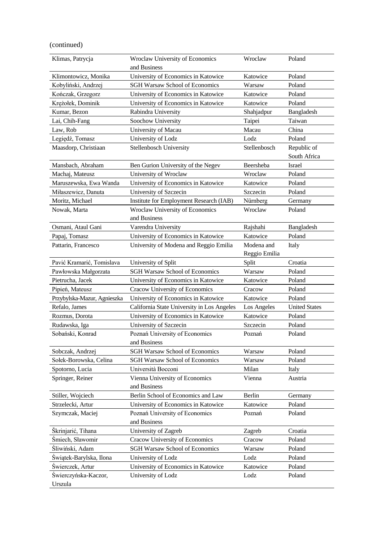## (continued)

| Klimas, Patrycja            | Wroclaw University of Economics            | Wroclaw       | Poland               |
|-----------------------------|--------------------------------------------|---------------|----------------------|
|                             | and Business                               |               |                      |
| Klimontowicz, Monika        | University of Economics in Katowice        | Katowice      | Poland               |
| Kobyliński, Andrzej         | <b>SGH Warsaw School of Economics</b>      | Warsaw        | Poland               |
| Kończak, Grzegorz           | University of Economics in Katowice        | Katowice      | Poland               |
| Krężołek, Dominik           | University of Economics in Katowice        | Katowice      | Poland               |
| Kumar, Bezon                | Rabindra University                        | Shahjadpur    | Bangladesh           |
| Lai, Chih-Fang              | Soochow University                         | Taipei        | Taiwan               |
| Law, Rob                    | University of Macau                        | Macau         | China                |
| Legiędź, Tomasz             | University of Lodz                         | $\rm Lodz$    | Poland               |
| Maasdorp, Christiaan        | Stellenbosch University                    | Stellenbosch  | Republic of          |
|                             |                                            |               | South Africa         |
| Mansbach, Abraham           | Ben Gurion University of the Negev         | Beersheba     | Israel               |
| Machaj, Mateusz             | University of Wroclaw                      | Wroclaw       | Poland               |
| Maruszewska, Ewa Wanda      | University of Economics in Katowice        | Katowice      | Poland               |
| Miłaszewicz, Danuta         | University of Szczecin                     | Szczecin      | Poland               |
| Moritz, Michael             | Institute for Employment Research (IAB)    | Nürnberg      | Germany              |
| Nowak, Marta                | Wroclaw University of Economics            | Wroclaw       | Poland               |
|                             | and Business                               |               |                      |
| Osmani, Ataul Gani          | Varendra University                        | Rajshahi      | Bangladesh           |
| Papaj, Tomasz               | University of Economics in Katowice        | Katowice      | Poland               |
| Pattarin, Francesco         | University of Modena and Reggio Emilia     | Modena and    | Italy                |
|                             |                                            | Reggio Emilia |                      |
| Pavić Kramarić, Tomislava   | University of Split                        | Split         | Croatia              |
| Pawłowska Małgorzata        | <b>SGH Warsaw School of Economics</b>      | Warsaw        | Poland               |
| Pietrucha, Jacek            | University of Economics in Katowice        | Katowice      | Poland               |
| Pipień, Mateusz             | Cracow University of Economics             | Cracow        | Poland               |
| Przybylska-Mazur, Agnieszka | University of Economics in Katowice        | Katowice      | Poland               |
| Refalo, James               | California State University in Los Angeles | Los Angeles   | <b>United States</b> |
| Rozmus, Dorota              | University of Economics in Katowice        | Katowice      | Poland               |
| Rudawska, Iga               | University of Szczecin                     | Szczecin      | Poland               |
| Sobański, Konrad            | Poznań University of Economics             | Poznań        | Poland               |
|                             | and Business                               |               |                      |
| Sobczak, Andrzej            | <b>SGH Warsaw School of Economics</b>      | Warsaw        | Poland               |
| Sołek-Borowska, Celina      | <b>SGH Warsaw School of Economics</b>      | Warsaw        | Poland               |
| Spotorno, Lucia             | Università Bocconi                         | Milan         | Italy                |
| Springer, Reiner            | Vienna University of Economics             | Vienna        | Austria              |
|                             | and Business                               |               |                      |
| Stiller, Wojciech           | Berlin School of Economics and Law         | Berlin        | Germany              |
| Strzelecki, Artur           | University of Economics in Katowice        | Katowice      | Poland               |
| Szymczak, Maciej            | Poznań University of Economics             | Poznań        | Poland               |
|                             | and Business                               |               |                      |
| Škrinjarić, Tihana          | University of Zagreb                       | Zagreb        | Croatia              |
| Śmiech, Sławomir            | Cracow University of Economics             | Cracow        | Poland               |
| Śliwiński, Adam             | <b>SGH Warsaw School of Economics</b>      | Warsaw        | Poland               |
| Świątek-Barylska, Ilona     | University of Lodz                         | Lodz          | Poland               |
| Świerczek, Artur            | University of Economics in Katowice        | Katowice      | Poland               |
| Świerczyńska-Kaczor,        | University of Lodz                         | Lodz          | Poland               |
| Urszula                     |                                            |               |                      |